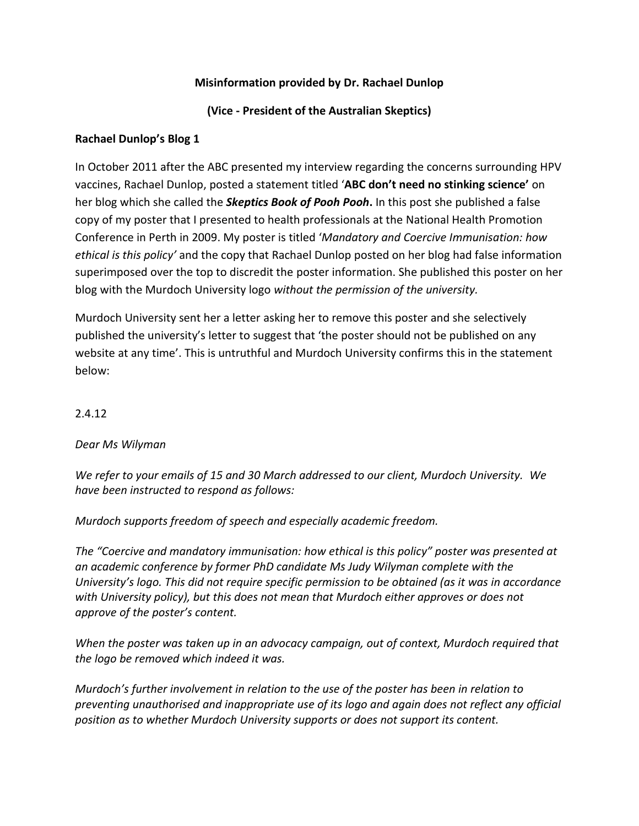# **Misinformation provided by Dr. Rachael Dunlop**

# **(Vice - President of the Australian Skeptics)**

### **Rachael Dunlop's Blog 1**

In October 2011 after the ABC presented my interview regarding the concerns surrounding HPV vaccines, Rachael Dunlop, posted a statement titled '**ABC don't need no stinking science'** on her blog which she called the *Skeptics Book of Pooh Pooh***.** In this post she published a false copy of my poster that I presented to health professionals at the National Health Promotion Conference in Perth in 2009. My poster is titled '*Mandatory and Coercive Immunisation: how ethical is this policy'* and the copy that Rachael Dunlop posted on her blog had false information superimposed over the top to discredit the poster information. She published this poster on her blog with the Murdoch University logo *without the permission of the university.* 

Murdoch University sent her a letter asking her to remove this poster and she selectively published the university's letter to suggest that 'the poster should not be published on any website at any time'. This is untruthful and Murdoch University confirms this in the statement below:

### 2.4.12

#### *Dear Ms Wilyman*

*We refer to your emails of 15 and 30 March addressed to our client, Murdoch University. We have been instructed to respond as follows:*

*Murdoch supports freedom of speech and especially academic freedom.*

*The "Coercive and mandatory immunisation: how ethical is this policy" poster was presented at an academic conference by former PhD candidate Ms Judy Wilyman complete with the University's logo. This did not require specific permission to be obtained (as it was in accordance with University policy), but this does not mean that Murdoch either approves or does not approve of the poster's content.*

*When the poster was taken up in an advocacy campaign, out of context, Murdoch required that the logo be removed which indeed it was.*

*Murdoch's further involvement in relation to the use of the poster has been in relation to preventing unauthorised and inappropriate use of its logo and again does not reflect any official position as to whether Murdoch University supports or does not support its content.*